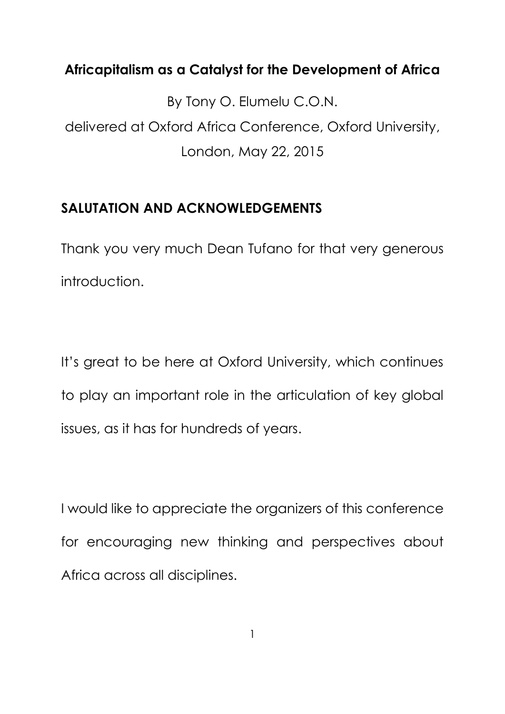## **Africapitalism as a Catalyst for the Development of Africa**

By Tony O. Elumelu C.O.N. delivered at Oxford Africa Conference, Oxford University, London, May 22, 2015

# **SALUTATION AND ACKNOWLEDGEMENTS**

Thank you very much Dean Tufano for that very generous introduction.

It's great to be here at Oxford University, which continues to play an important role in the articulation of key global issues, as it has for hundreds of years.

I would like to appreciate the organizers of this conference for encouraging new thinking and perspectives about Africa across all disciplines.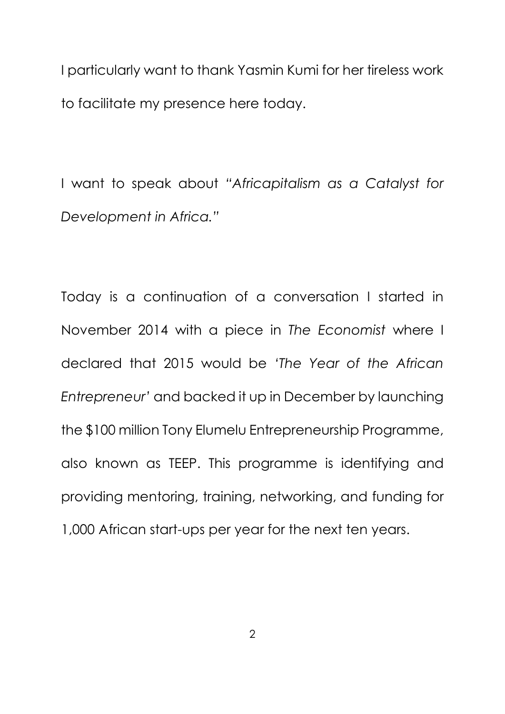I particularly want to thank Yasmin Kumi for her tireless work to facilitate my presence here today.

I want to speak about *"Africapitalism as a Catalyst for Development in Africa."*

Today is a continuation of a conversation I started in November 2014 with a piece in *The Economist* where I declared that 2015 would be *'The Year of the African Entrepreneur'* and backed it up in December by launching the \$100 million Tony Elumelu Entrepreneurship Programme, also known as TEEP. This programme is identifying and providing mentoring, training, networking, and funding for 1,000 African start-ups per year for the next ten years.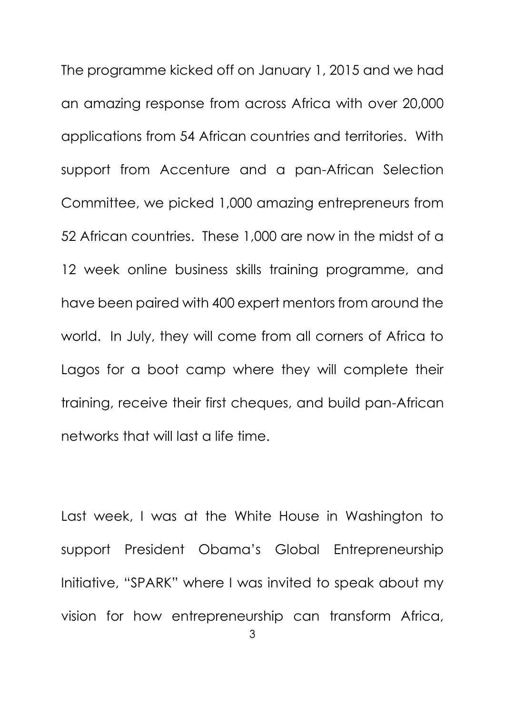The programme kicked off on January 1, 2015 and we had an amazing response from across Africa with over 20,000 applications from 54 African countries and territories. With support from Accenture and a pan-African Selection Committee, we picked 1,000 amazing entrepreneurs from 52 African countries. These 1,000 are now in the midst of a 12 week online business skills training programme, and have been paired with 400 expert mentors from around the world. In July, they will come from all corners of Africa to Lagos for a boot camp where they will complete their training, receive their first cheques, and build pan-African networks that will last a life time.

Last week, I was at the White House in Washington to support President Obama's Global Entrepreneurship Initiative, "SPARK" where I was invited to speak about my vision for how entrepreneurship can transform Africa,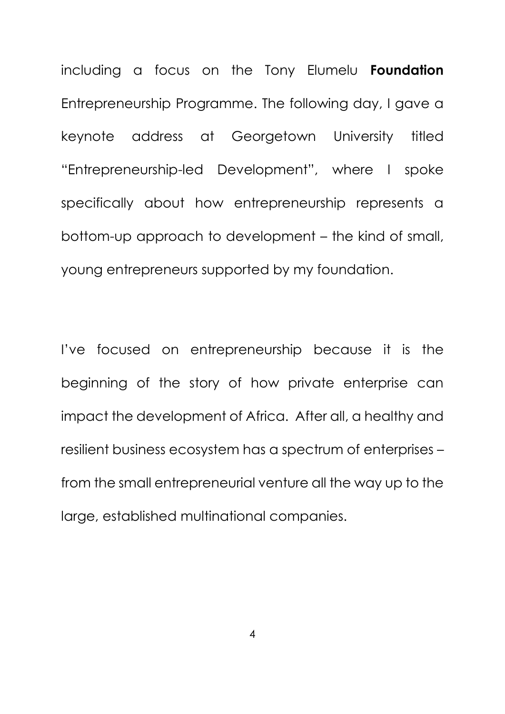including a focus on the Tony Elumelu **Foundation**  Entrepreneurship Programme. The following day, I gave a keynote address at Georgetown University titled "Entrepreneurship-led Development", where I spoke specifically about how entrepreneurship represents a bottom-up approach to development – the kind of small, young entrepreneurs supported by my foundation.

I've focused on entrepreneurship because it is the beginning of the story of how private enterprise can impact the development of Africa. After all, a healthy and resilient business ecosystem has a spectrum of enterprises – from the small entrepreneurial venture all the way up to the large, established multinational companies.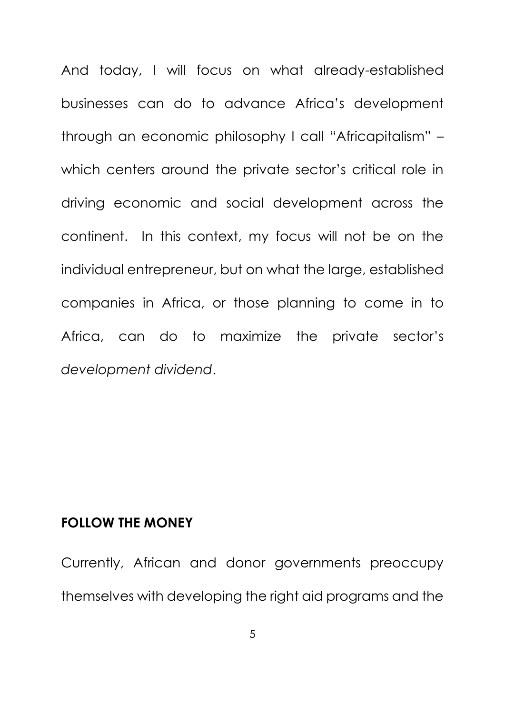And today, I will focus on what already-established businesses can do to advance Africa's development through an economic philosophy I call "Africapitalism" – which centers around the private sector's critical role in driving economic and social development across the continent. In this context, my focus will not be on the individual entrepreneur, but on what the large, established companies in Africa, or those planning to come in to Africa, can do to maximize the private sector's *development dividend*.

#### **FOLLOW THE MONEY**

Currently, African and donor governments preoccupy themselves with developing the right aid programs and the

5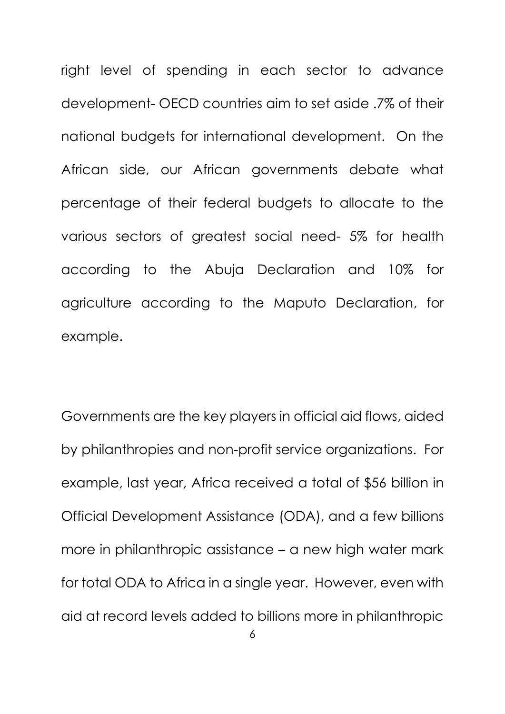right level of spending in each sector to advance development- OECD countries aim to set aside .7% of their national budgets for international development. On the African side, our African governments debate what percentage of their federal budgets to allocate to the various sectors of greatest social need- 5% for health according to the Abuja Declaration and 10% for agriculture according to the Maputo Declaration, for example.

Governments are the key players in official aid flows, aided by philanthropies and non-profit service organizations. For example, last year, Africa received a total of \$56 billion in Official Development Assistance (ODA), and a few billions more in philanthropic assistance – a new high water mark for total ODA to Africa in a single year. However, even with aid at record levels added to billions more in philanthropic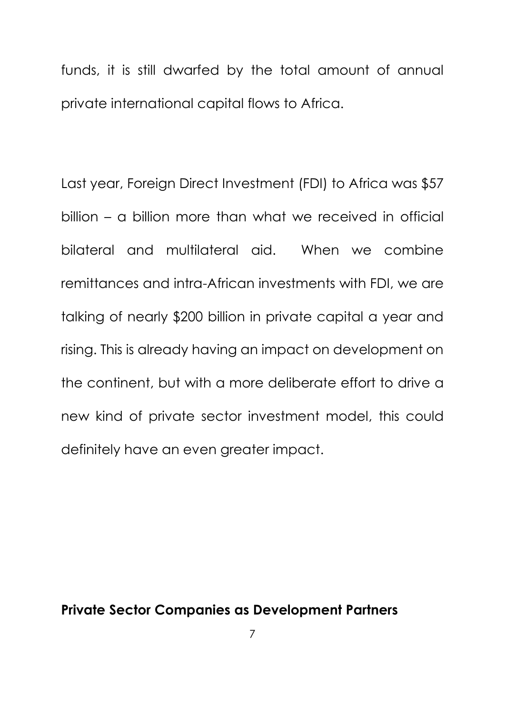funds, it is still dwarfed by the total amount of annual private international capital flows to Africa.

Last year, Foreign Direct Investment (FDI) to Africa was \$57 billion – a billion more than what we received in official bilateral and multilateral aid. When we combine remittances and intra-African investments with FDI, we are talking of nearly \$200 billion in private capital a year and rising. This is already having an impact on development on the continent, but with a more deliberate effort to drive a new kind of private sector investment model, this could definitely have an even greater impact.

#### **Private Sector Companies as Development Partners**

7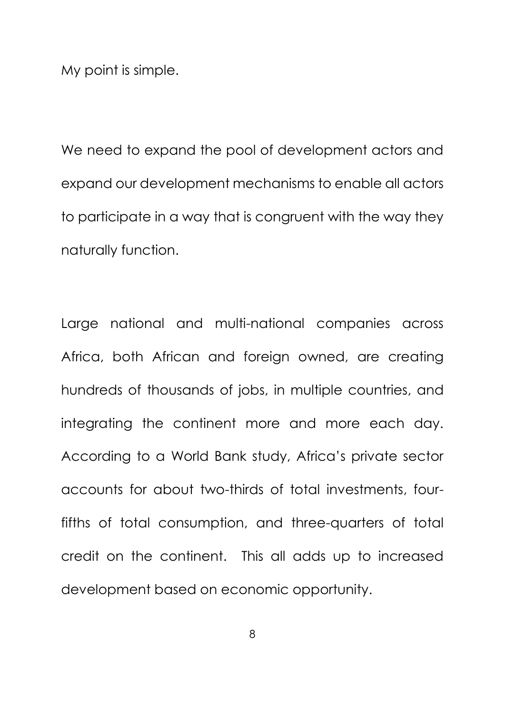My point is simple.

We need to expand the pool of development actors and expand our development mechanisms to enable all actors to participate in a way that is congruent with the way they naturally function.

Large national and multi-national companies across Africa, both African and foreign owned, are creating hundreds of thousands of jobs, in multiple countries, and integrating the continent more and more each day. According to a World Bank study, Africa's private sector accounts for about two-thirds of total investments, fourfifths of total consumption, and three-quarters of total credit on the continent. This all adds up to increased development based on economic opportunity.

8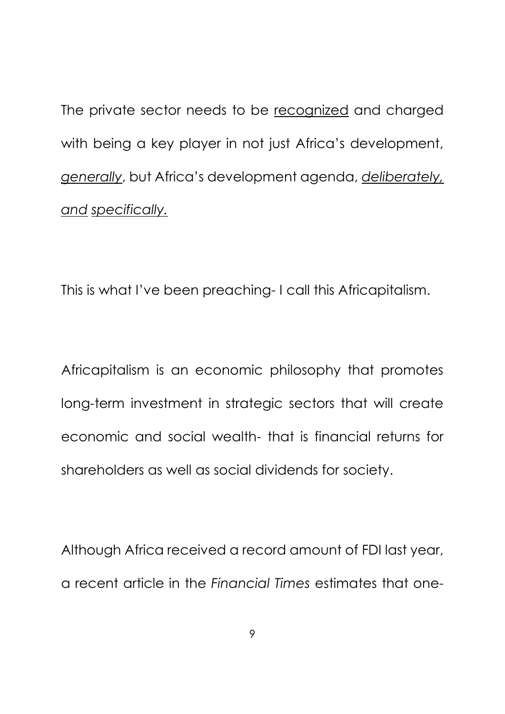The private sector needs to be recognized and charged with being a key player in not just Africa's development, *generally*, but Africa's development agenda, *deliberately, and specifically.*

This is what I've been preaching- I call this Africapitalism.

Africapitalism is an economic philosophy that promotes long-term investment in strategic sectors that will create economic and social wealth- that is financial returns for shareholders as well as social dividends for society.

Although Africa received a record amount of FDI last year, a recent article in the *Financial Times* estimates that one-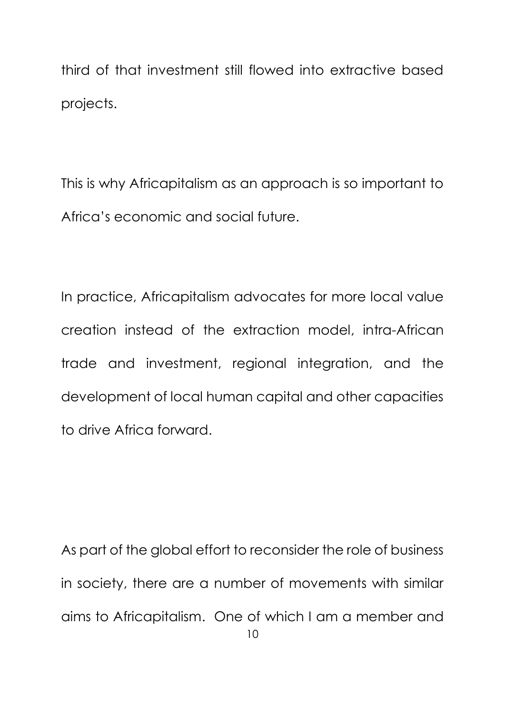third of that investment still flowed into extractive based projects.

This is why Africapitalism as an approach is so important to Africa's economic and social future.

In practice, Africapitalism advocates for more local value creation instead of the extraction model, intra-African trade and investment, regional integration, and the development of local human capital and other capacities to drive Africa forward.

10 As part of the global effort to reconsider the role of business in society, there are a number of movements with similar aims to Africapitalism. One of which I am a member and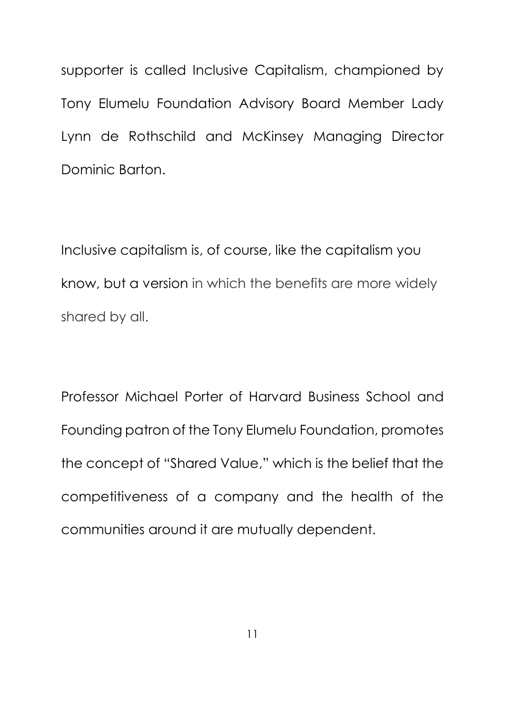supporter is called Inclusive Capitalism, championed by Tony Elumelu Foundation Advisory Board Member Lady Lynn de Rothschild and McKinsey Managing Director Dominic Barton.

Inclusive capitalism is, of course, like the capitalism you know, but a version in which the benefits are more widely shared by all.

Professor Michael Porter of Harvard Business School and Founding patron of the Tony Elumelu Foundation, promotes the concept of "Shared Value," which is the belief that the competitiveness of a company and the health of the communities around it are mutually dependent.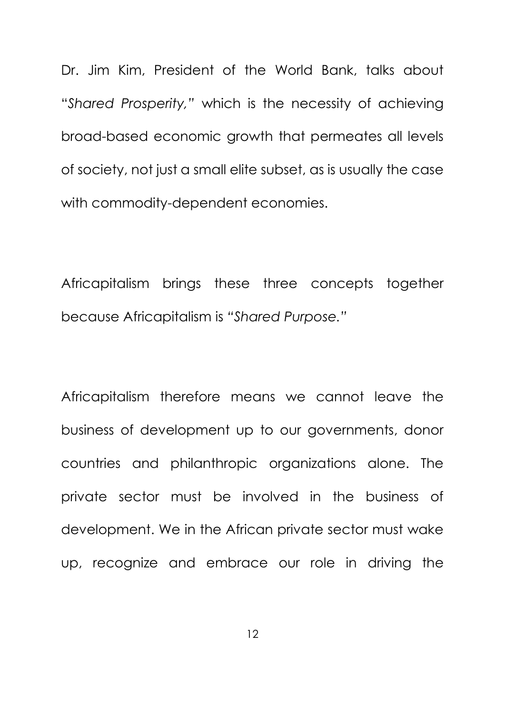Dr. Jim Kim, President of the World Bank, talks about "*Shared Prosperity,"* which is the necessity of achieving broad-based economic growth that permeates all levels of society, not just a small elite subset, as is usually the case with commodity-dependent economies.

Africapitalism brings these three concepts together because Africapitalism is *"Shared Purpose."*

Africapitalism therefore means we cannot leave the business of development up to our governments, donor countries and philanthropic organizations alone. The private sector must be involved in the business of development. We in the African private sector must wake up, recognize and embrace our role in driving the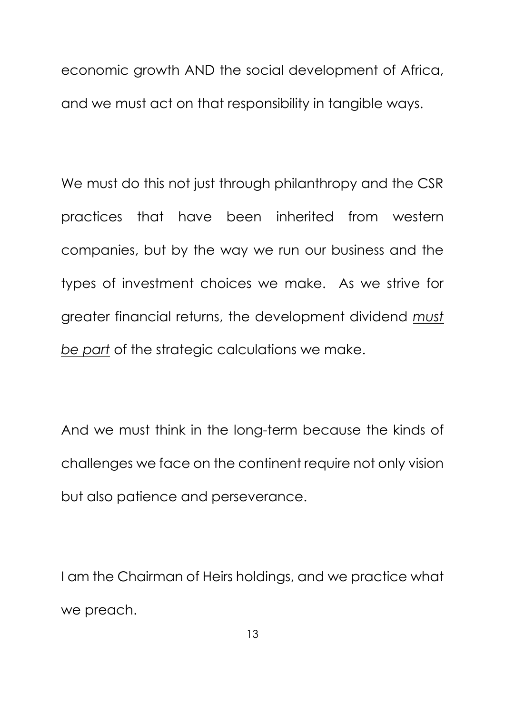economic growth AND the social development of Africa, and we must act on that responsibility in tangible ways.

We must do this not just through philanthropy and the CSR practices that have been inherited from western companies, but by the way we run our business and the types of investment choices we make. As we strive for greater financial returns, the development dividend *must be part* of the strategic calculations we make.

And we must think in the long-term because the kinds of challenges we face on the continent require not only vision but also patience and perseverance.

I am the Chairman of Heirs holdings, and we practice what we preach.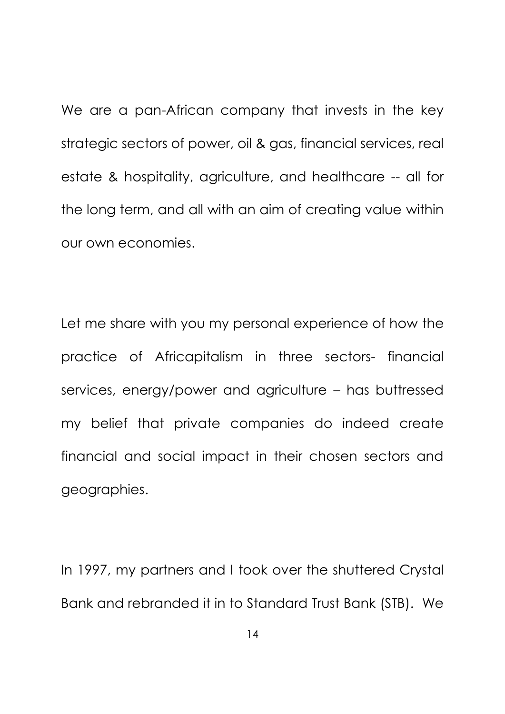We are a pan-African company that invests in the key strategic sectors of power, oil & gas, financial services, real estate & hospitality, agriculture, and healthcare -- all for the long term, and all with an aim of creating value within our own economies.

Let me share with you my personal experience of how the practice of Africapitalism in three sectors- financial services, energy/power and agriculture – has buttressed my belief that private companies do indeed create financial and social impact in their chosen sectors and geographies.

In 1997, my partners and I took over the shuttered Crystal Bank and rebranded it in to Standard Trust Bank (STB). We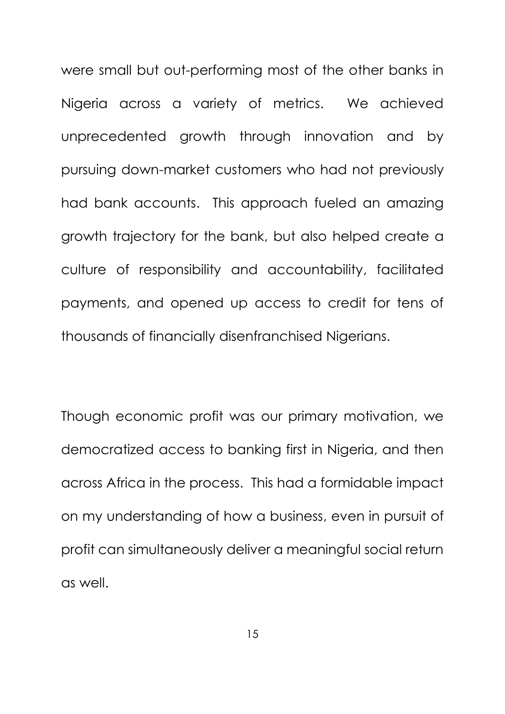were small but out-performing most of the other banks in Nigeria across a variety of metrics. We achieved unprecedented growth through innovation and by pursuing down-market customers who had not previously had bank accounts. This approach fueled an amazing growth trajectory for the bank, but also helped create a culture of responsibility and accountability, facilitated payments, and opened up access to credit for tens of thousands of financially disenfranchised Nigerians.

Though economic profit was our primary motivation, we democratized access to banking first in Nigeria, and then across Africa in the process. This had a formidable impact on my understanding of how a business, even in pursuit of profit can simultaneously deliver a meaningful social return as well.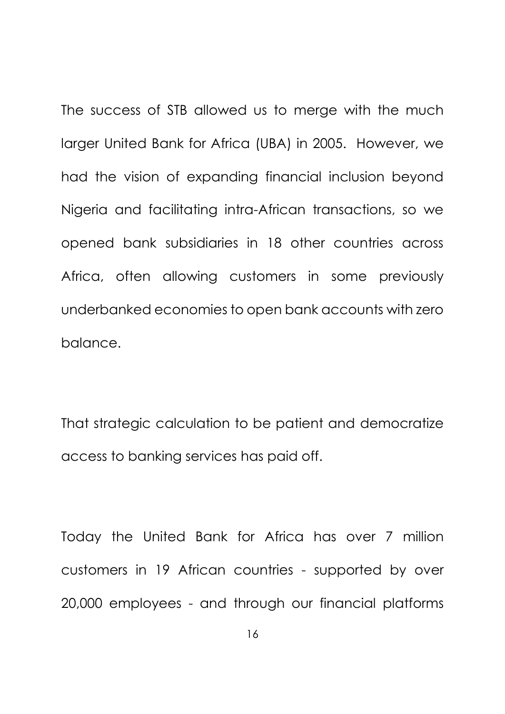The success of STB allowed us to merge with the much larger United Bank for Africa (UBA) in 2005. However, we had the vision of expanding financial inclusion beyond Nigeria and facilitating intra-African transactions, so we opened bank subsidiaries in 18 other countries across Africa, often allowing customers in some previously underbanked economies to open bank accounts with zero balance.

That strategic calculation to be patient and democratize access to banking services has paid off.

Today the United Bank for Africa has over 7 million customers in 19 African countries - supported by over 20,000 employees - and through our financial platforms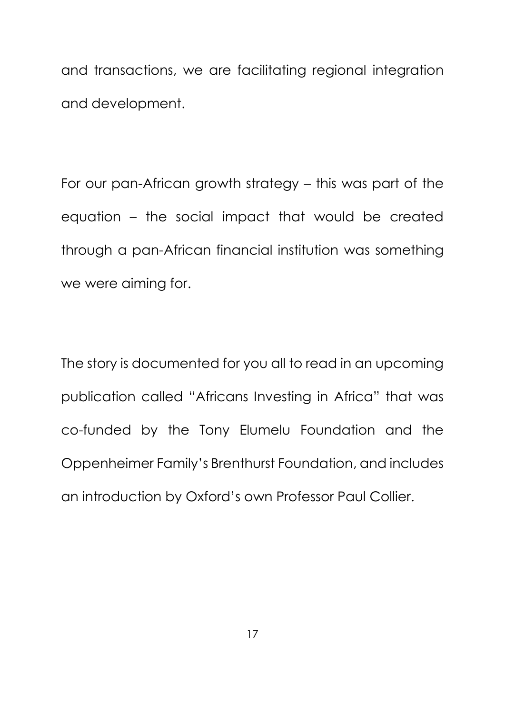and transactions, we are facilitating regional integration and development.

For our pan-African growth strategy – this was part of the equation – the social impact that would be created through a pan-African financial institution was something we were aiming for.

The story is documented for you all to read in an upcoming publication called "Africans Investing in Africa" that was co-funded by the Tony Elumelu Foundation and the Oppenheimer Family's Brenthurst Foundation, and includes an introduction by Oxford's own Professor Paul Collier.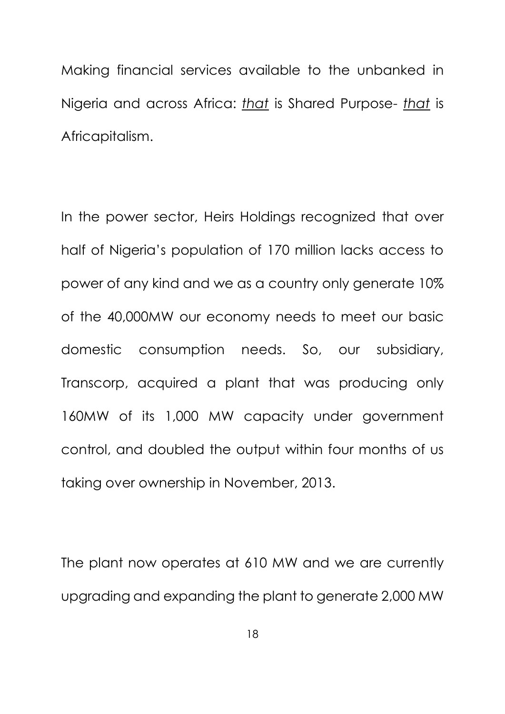Making financial services available to the unbanked in Nigeria and across Africa: *that* is Shared Purpose- *that* is Africapitalism.

In the power sector, Heirs Holdings recognized that over half of Nigeria's population of 170 million lacks access to power of any kind and we as a country only generate 10% of the 40,000MW our economy needs to meet our basic domestic consumption needs. So, our subsidiary, Transcorp, acquired a plant that was producing only 160MW of its 1,000 MW capacity under government control, and doubled the output within four months of us taking over ownership in November, 2013.

The plant now operates at 610 MW and we are currently upgrading and expanding the plant to generate 2,000 MW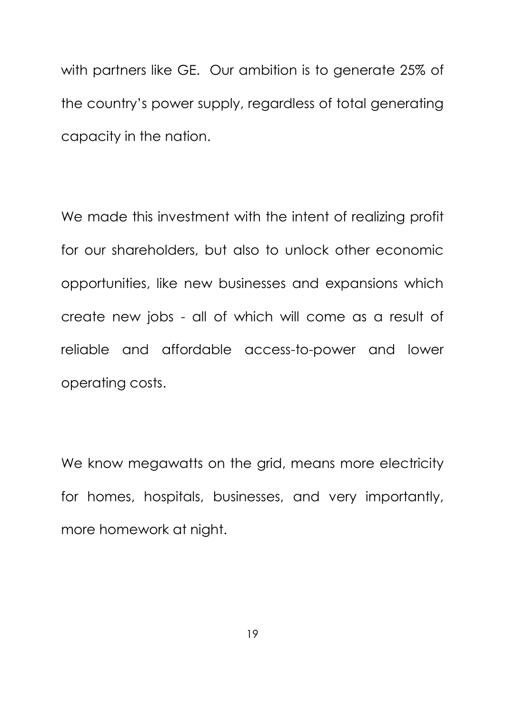with partners like GE. Our ambition is to generate 25% of the country's power supply, regardless of total generating capacity in the nation.

We made this investment with the intent of realizing profit for our shareholders, but also to unlock other economic opportunities, like new businesses and expansions which create new jobs - all of which will come as a result of reliable and affordable access-to-power and lower operating costs.

We know megawatts on the grid, means more electricity for homes, hospitals, businesses, and very importantly, more homework at night.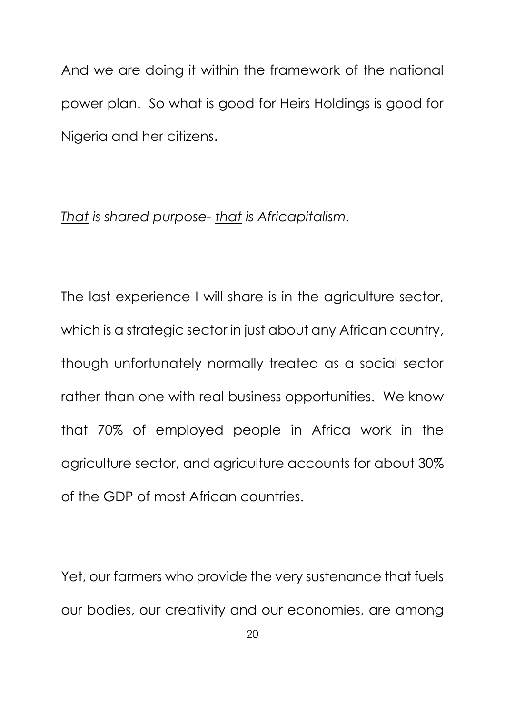And we are doing it within the framework of the national power plan. So what is good for Heirs Holdings is good for Nigeria and her citizens.

#### *That is shared purpose- that is Africapitalism.*

The last experience I will share is in the agriculture sector, which is a strategic sector in just about any African country, though unfortunately normally treated as a social sector rather than one with real business opportunities. We know that 70% of employed people in Africa work in the agriculture sector, and agriculture accounts for about 30% of the GDP of most African countries.

Yet, our farmers who provide the very sustenance that fuels our bodies, our creativity and our economies, are among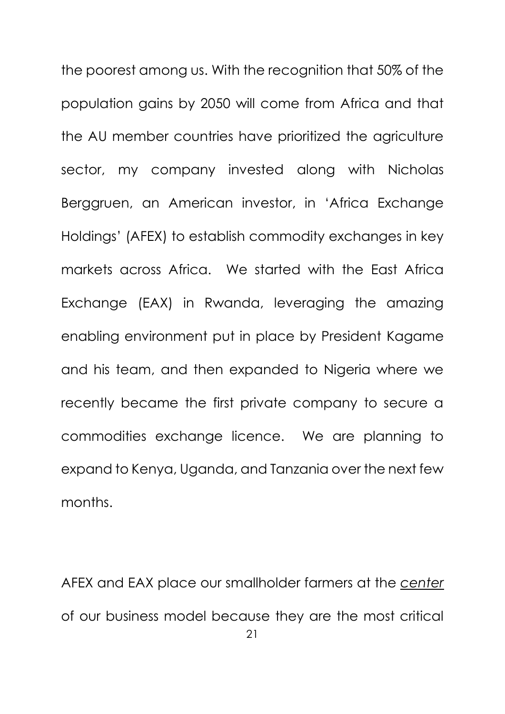the poorest among us. With the recognition that 50% of the population gains by 2050 will come from Africa and that the AU member countries have prioritized the agriculture sector, my company invested along with Nicholas Berggruen, an American investor, in 'Africa Exchange Holdings' (AFEX) to establish commodity exchanges in key markets across Africa. We started with the East Africa Exchange (EAX) in Rwanda, leveraging the amazing enabling environment put in place by President Kagame and his team, and then expanded to Nigeria where we recently became the first private company to secure a commodities exchange licence. We are planning to expand to Kenya, Uganda, and Tanzania over the next few months.

21 AFEX and EAX place our smallholder farmers at the *center* of our business model because they are the most critical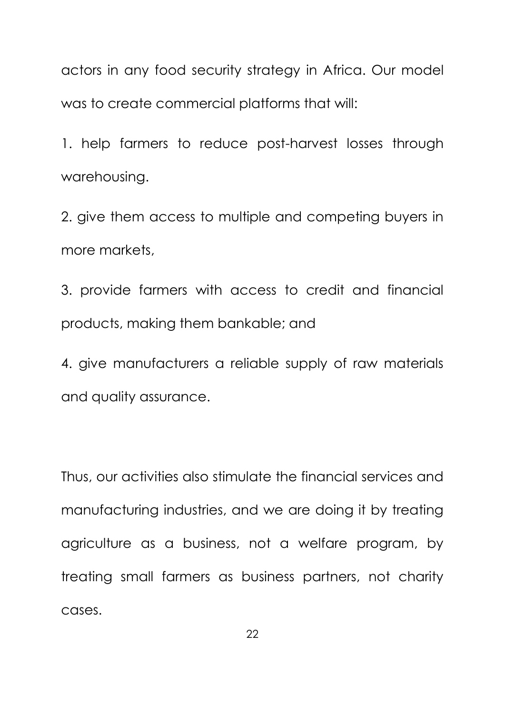actors in any food security strategy in Africa. Our model was to create commercial platforms that will:

1. help farmers to reduce post-harvest losses through warehousing.

2. give them access to multiple and competing buyers in more markets,

3. provide farmers with access to credit and financial products, making them bankable; and

4. give manufacturers a reliable supply of raw materials and quality assurance.

Thus, our activities also stimulate the financial services and manufacturing industries, and we are doing it by treating agriculture as a business, not a welfare program, by treating small farmers as business partners, not charity cases.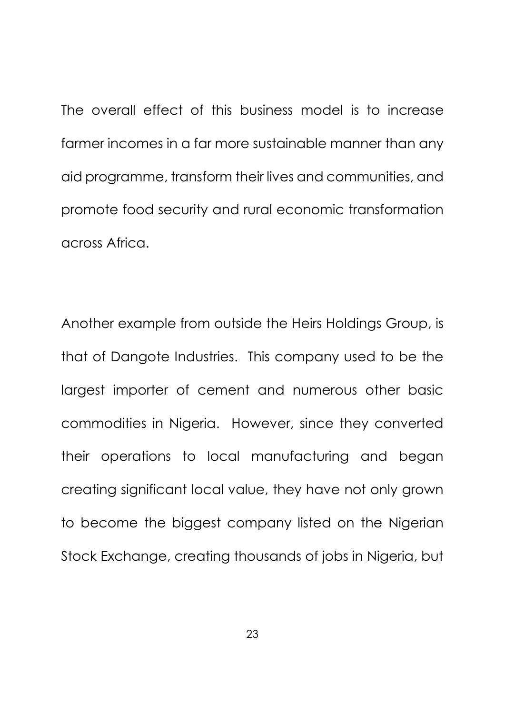The overall effect of this business model is to increase farmer incomes in a far more sustainable manner than any aid programme, transform their lives and communities, and promote food security and rural economic transformation across Africa.

Another example from outside the Heirs Holdings Group, is that of Dangote Industries. This company used to be the largest importer of cement and numerous other basic commodities in Nigeria. However, since they converted their operations to local manufacturing and began creating significant local value, they have not only grown to become the biggest company listed on the Nigerian Stock Exchange, creating thousands of jobs in Nigeria, but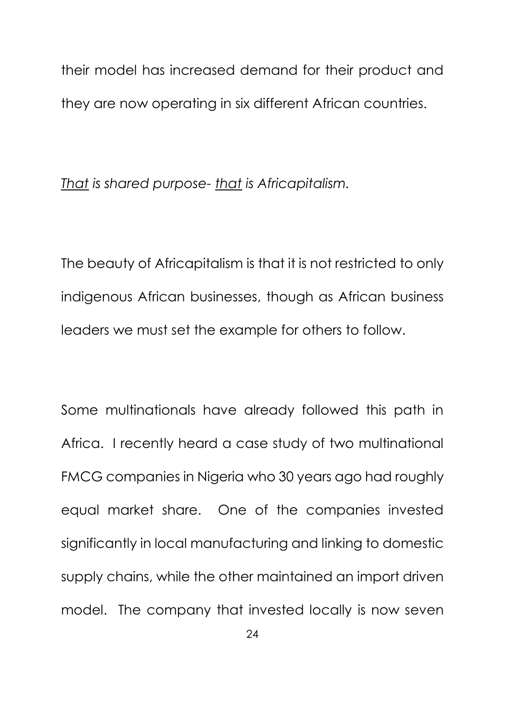their model has increased demand for their product and they are now operating in six different African countries.

*That is shared purpose- that is Africapitalism.*

The beauty of Africapitalism is that it is not restricted to only indigenous African businesses, though as African business leaders we must set the example for others to follow.

Some multinationals have already followed this path in Africa. I recently heard a case study of two multinational FMCG companies in Nigeria who 30 years ago had roughly equal market share. One of the companies invested significantly in local manufacturing and linking to domestic supply chains, while the other maintained an import driven model. The company that invested locally is now seven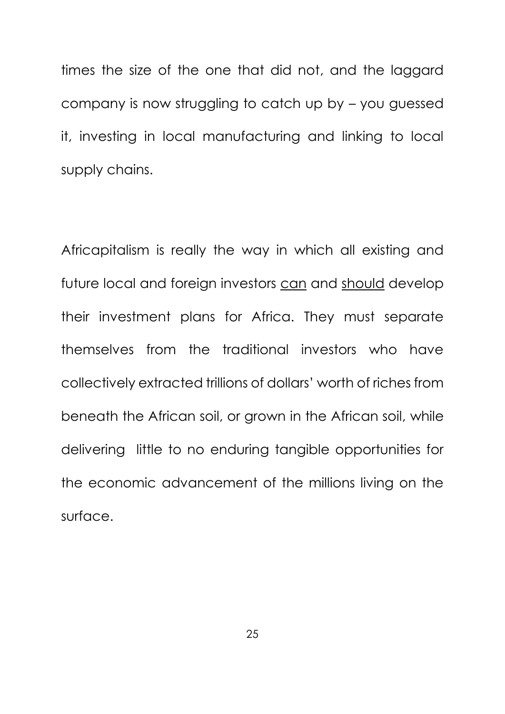times the size of the one that did not, and the laggard company is now struggling to catch up by – you guessed it, investing in local manufacturing and linking to local supply chains.

Africapitalism is really the way in which all existing and future local and foreign investors can and should develop their investment plans for Africa. They must separate themselves from the traditional investors who have collectively extracted trillions of dollars' worth of riches from beneath the African soil, or grown in the African soil, while delivering little to no enduring tangible opportunities for the economic advancement of the millions living on the surface.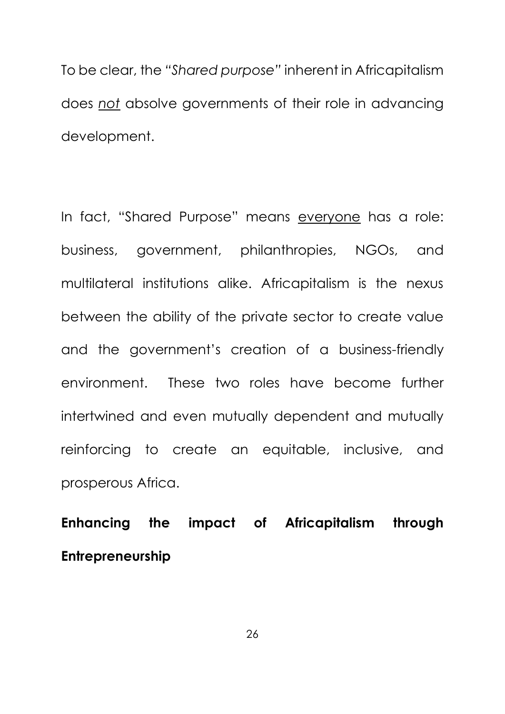To be clear, the *"Shared purpose"* inherent in Africapitalism does *not* absolve governments of their role in advancing development.

In fact, "Shared Purpose" means everyone has a role: business, government, philanthropies, NGOs, and multilateral institutions alike. Africapitalism is the nexus between the ability of the private sector to create value and the government's creation of a business-friendly environment. These two roles have become further intertwined and even mutually dependent and mutually reinforcing to create an equitable, inclusive, and prosperous Africa.

**Enhancing the impact of Africapitalism through Entrepreneurship**

26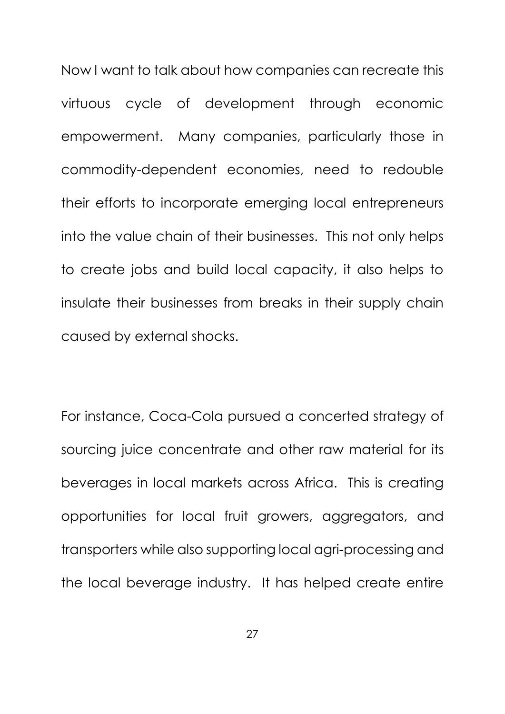Now I want to talk about how companies can recreate this virtuous cycle of development through economic empowerment. Many companies, particularly those in commodity-dependent economies, need to redouble their efforts to incorporate emerging local entrepreneurs into the value chain of their businesses. This not only helps to create jobs and build local capacity, it also helps to insulate their businesses from breaks in their supply chain caused by external shocks.

For instance, Coca-Cola pursued a concerted strategy of sourcing juice concentrate and other raw material for its beverages in local markets across Africa. This is creating opportunities for local fruit growers, aggregators, and transporters while also supporting local agri-processing and the local beverage industry. It has helped create entire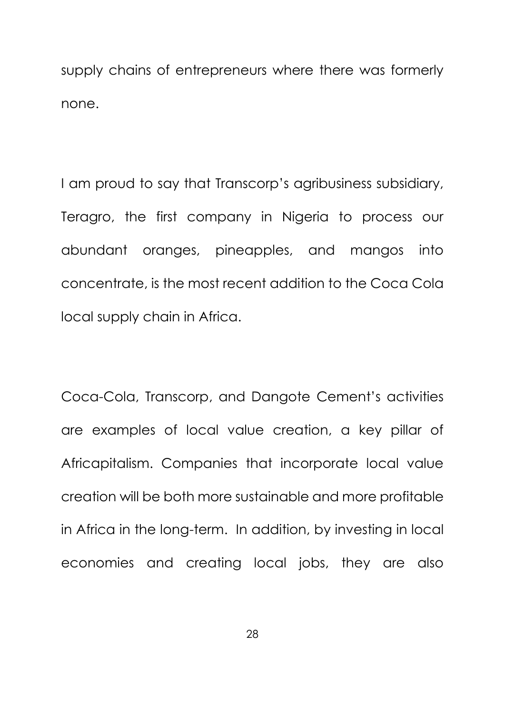supply chains of entrepreneurs where there was formerly none.

I am proud to say that Transcorp's agribusiness subsidiary, Teragro, the first company in Nigeria to process our abundant oranges, pineapples, and mangos into concentrate, is the most recent addition to the Coca Cola local supply chain in Africa.

Coca-Cola, Transcorp, and Dangote Cement's activities are examples of local value creation, a key pillar of Africapitalism. Companies that incorporate local value creation will be both more sustainable and more profitable in Africa in the long-term. In addition, by investing in local economies and creating local jobs, they are also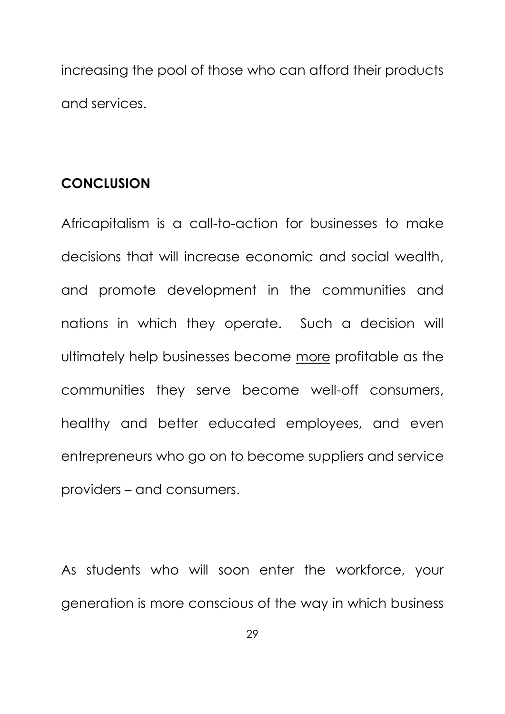increasing the pool of those who can afford their products and services.

### **CONCLUSION**

Africapitalism is a call-to-action for businesses to make decisions that will increase economic and social wealth, and promote development in the communities and nations in which they operate. Such a decision will ultimately help businesses become more profitable as the communities they serve become well-off consumers, healthy and better educated employees, and even entrepreneurs who go on to become suppliers and service providers – and consumers.

As students who will soon enter the workforce, your generation is more conscious of the way in which business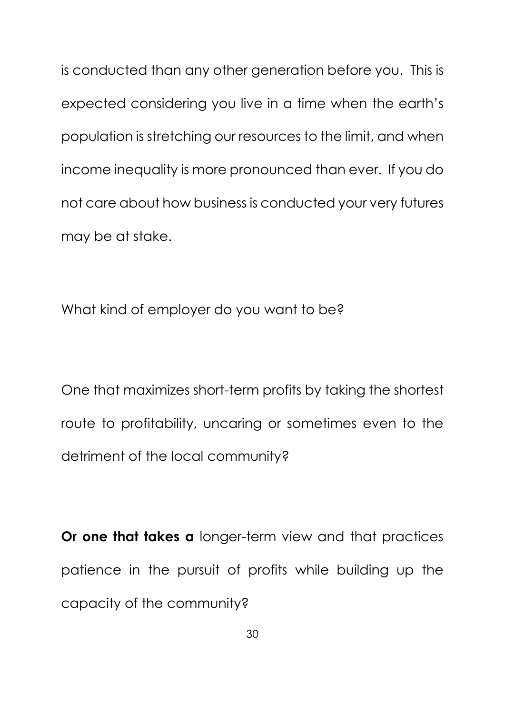is conducted than any other generation before you. This is expected considering you live in a time when the earth's population is stretching our resources to the limit, and when income inequality is more pronounced than ever. If you do not care about how business is conducted your very futures may be at stake.

What kind of employer do you want to be?

One that maximizes short-term profits by taking the shortest route to profitability, uncaring or sometimes even to the detriment of the local community?

**Or one that takes a** longer-term view and that practices patience in the pursuit of profits while building up the capacity of the community?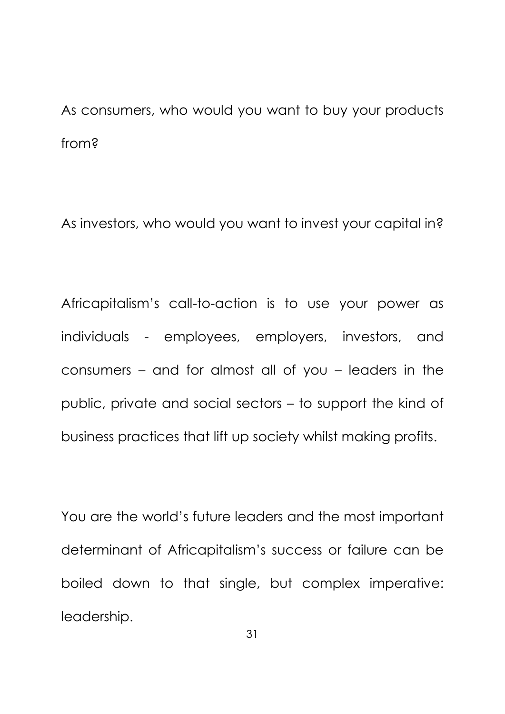As consumers, who would you want to buy your products from?

As investors, who would you want to invest your capital in?

Africapitalism's call-to-action is to use your power as individuals - employees, employers, investors, and consumers – and for almost all of you – leaders in the public, private and social sectors – to support the kind of business practices that lift up society whilst making profits.

You are the world's future leaders and the most important determinant of Africapitalism's success or failure can be boiled down to that single, but complex imperative: leadership.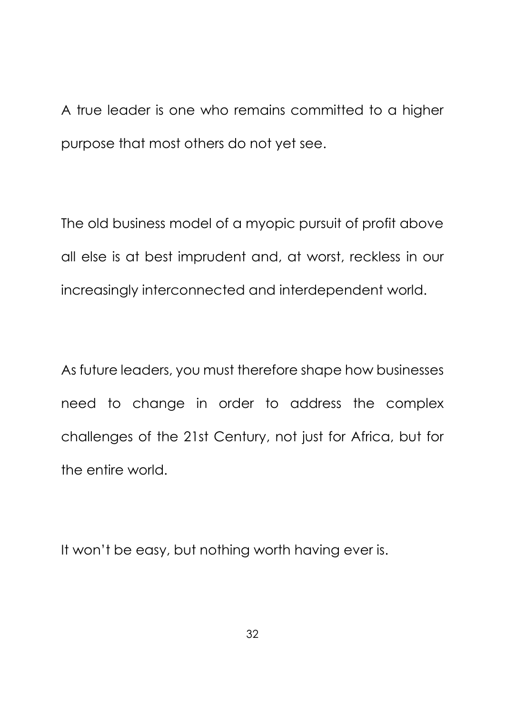A true leader is one who remains committed to a higher purpose that most others do not yet see.

The old business model of a myopic pursuit of profit above all else is at best imprudent and, at worst, reckless in our increasingly interconnected and interdependent world.

As future leaders, you must therefore shape how businesses need to change in order to address the complex challenges of the 21st Century, not just for Africa, but for the entire world.

It won't be easy, but nothing worth having ever is.